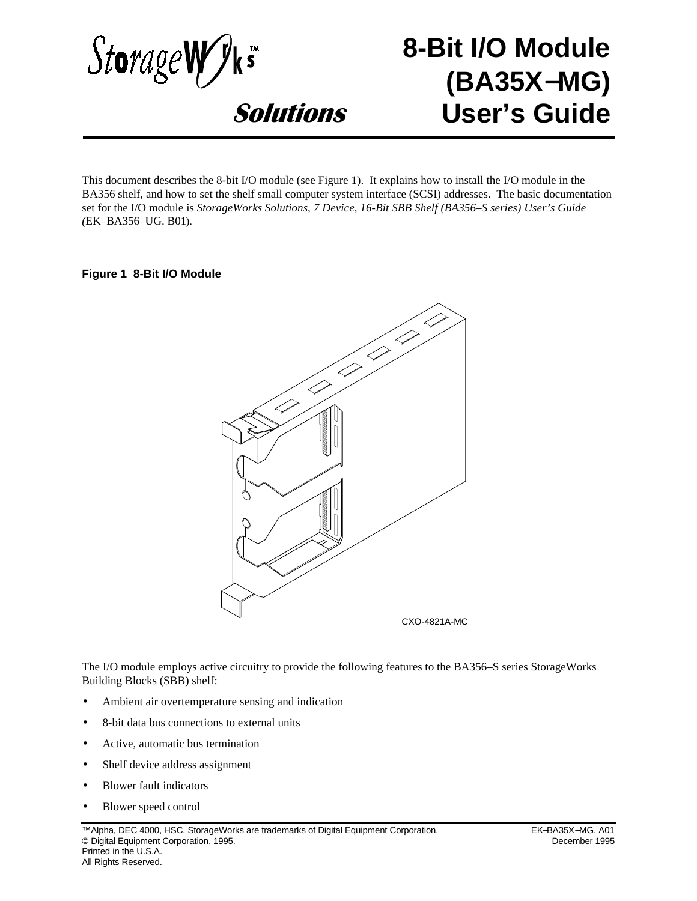

# **8-Bit I/O Module (BA35X**−**MG) User's Guide**

This document describes the 8-bit I/O module (see Figure 1). It explains how to install the I/O module in the BA356 shelf, and how to set the shelf small computer system interface (SCSI) addresses. The basic documentation set for the I/O module is *StorageWorks Solutions, 7 Device, 16-Bit SBB Shelf (BA356–S series) User's Guide (*EK–BA356–UG. B01).

### **Figure 1 8-Bit I/O Module**



CXO-4821A-MC

The I/O module employs active circuitry to provide the following features to the BA356–S series StorageWorks™ Building Blocks (SBB) shelf:

- Ambient air overtemperature sensing and indication
- 8-bit data bus connections to external units
- Active, automatic bus termination
- Shelf device address assignment
- Blower fault indicators
- Blower speed control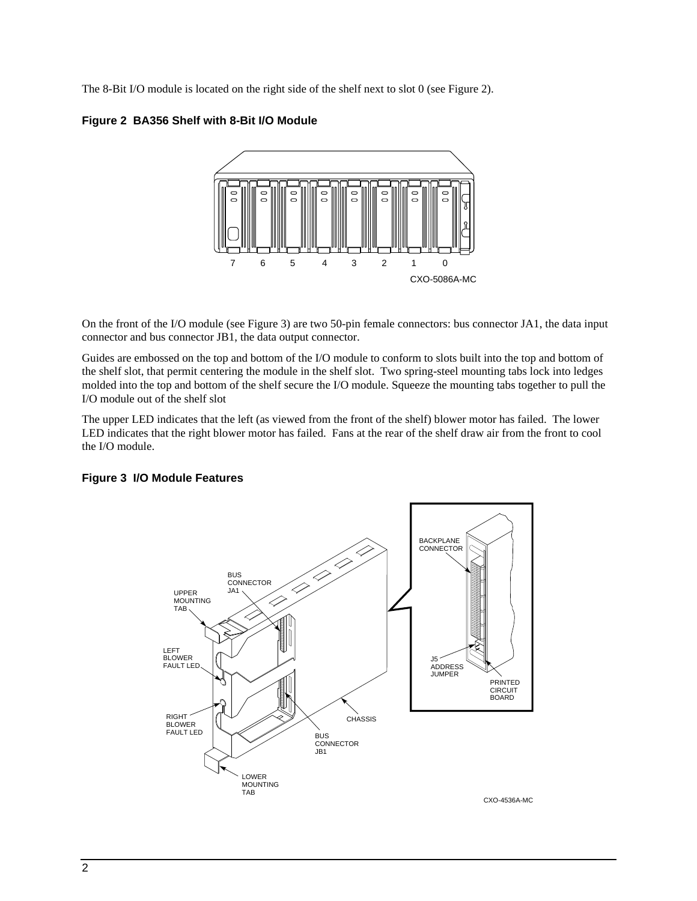The 8-Bit I/O module is located on the right side of the shelf next to slot 0 (see Figure 2).

**Figure 2 BA356 Shelf with 8-Bit I/O Module**



On the front of the I/O module (see Figure 3) are two 50-pin female connectors: bus connector JA1, the data input connector and bus connector JB1, the data output connector.

Guides are embossed on the top and bottom of the I/O module to conform to slots built into the top and bottom of the shelf slot, that permit centering the module in the shelf slot. Two spring-steel mounting tabs lock into ledges molded into the top and bottom of the shelf secure the I/O module. Squeeze the mounting tabs together to pull the I/O module out of the shelf slot

The upper LED indicates that the left (as viewed from the front of the shelf) blower motor has failed. The lower LED indicates that the right blower motor has failed. Fans at the rear of the shelf draw air from the front to cool the I/O module.

### **Figure 3 I/O Module Features**

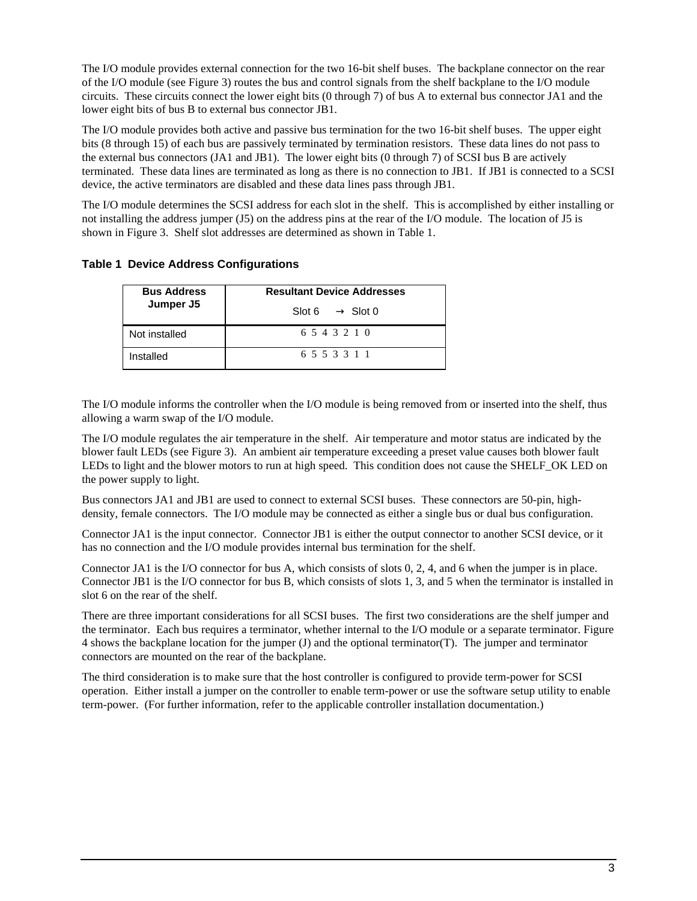The I/O module provides external connection for the two 16-bit shelf buses. The backplane connector on the rear of the I/O module (see Figure 3) routes the bus and control signals from the shelf backplane to the I/O module circuits. These circuits connect the lower eight bits (0 through 7) of bus A to external bus connector JA1 and the lower eight bits of bus B to external bus connector JB1.

The I/O module provides both active and passive bus termination for the two 16-bit shelf buses. The upper eight bits (8 through 15) of each bus are passively terminated by termination resistors. These data lines do not pass to the external bus connectors (JA1 and JB1). The lower eight bits (0 through 7) of SCSI bus B are actively terminated. These data lines are terminated as long as there is no connection to JB1. If JB1 is connected to a SCSI device, the active terminators are disabled and these data lines pass through JB1.

The I/O module determines the SCSI address for each slot in the shelf. This is accomplished by either installing or not installing the address jumper (J5) on the address pins at the rear of the I/O module. The location of J5 is shown in Figure 3. Shelf slot addresses are determined as shown in Table 1.

### **Table 1 Device Address Configurations**

| <b>Bus Address</b><br>Jumper J5 | <b>Resultant Device Addresses</b> |  |  |
|---------------------------------|-----------------------------------|--|--|
|                                 | Slot 6 $\longrightarrow$ Slot 0   |  |  |
| Not installed                   | 6 5 4 3 2 1 0                     |  |  |
| Installed                       | 6553311                           |  |  |

The I/O module informs the controller when the I/O module is being removed from or inserted into the shelf, thus allowing a warm swap of the I/O module.

The I/O module regulates the air temperature in the shelf. Air temperature and motor status are indicated by the blower fault LEDs (see Figure 3). An ambient air temperature exceeding a preset value causes both blower fault LEDs to light and the blower motors to run at high speed. This condition does not cause the SHELF\_OK LED on the power supply to light.

Bus connectors JA1 and JB1 are used to connect to external SCSI buses. These connectors are 50-pin, highdensity, female connectors. The I/O module may be connected as either a single bus or dual bus configuration.

Connector JA1 is the input connector. Connector JB1 is either the output connector to another SCSI device, or it has no connection and the I/O module provides internal bus termination for the shelf.

Connector JA1 is the I/O connector for bus A, which consists of slots 0, 2, 4, and 6 when the jumper is in place. Connector JB1 is the I/O connector for bus B, which consists of slots 1, 3, and 5 when the terminator is installed in slot 6 on the rear of the shelf.

There are three important considerations for all SCSI buses. The first two considerations are the shelf jumper and the terminator. Each bus requires a terminator, whether internal to the I/O module or a separate terminator. Figure 4 shows the backplane location for the jumper (J) and the optional terminator(T). The jumper and terminator connectors are mounted on the rear of the backplane.

The third consideration is to make sure that the host controller is configured to provide term-power for SCSI operation. Either install a jumper on the controller to enable term-power or use the software setup utility to enable term-power. (For further information, refer to the applicable controller installation documentation.)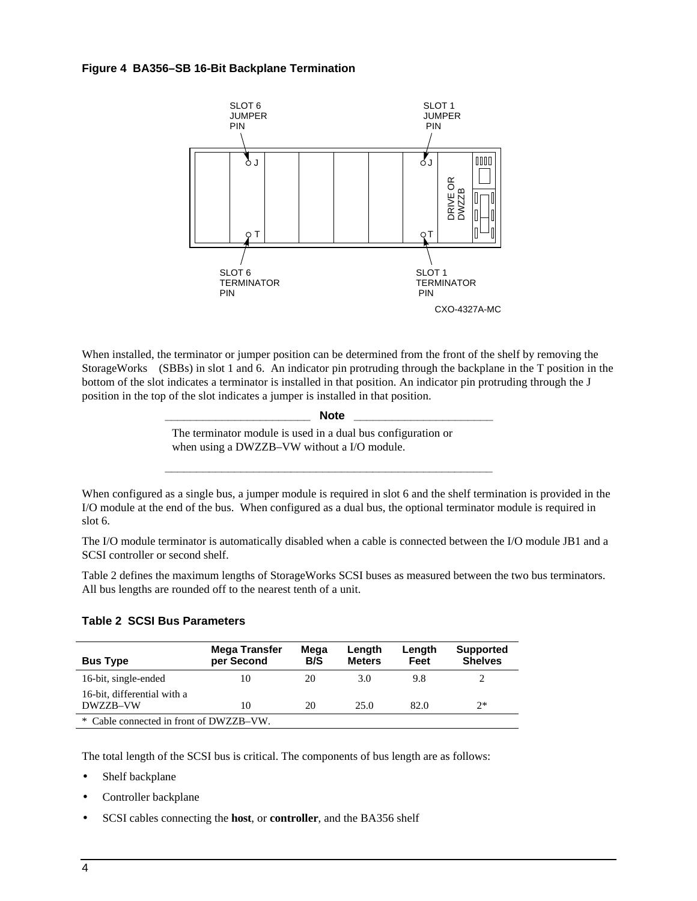#### **Figure 4 BA356–SB 16-Bit Backplane Termination**



When installed, the terminator or jumper position can be determined from the front of the shelf by removing the StorageWorks<sup>™</sup> (SBBs) in slot 1 and 6. An indicator pin protruding through the backplane in the T position in the bottom of the slot indicates a terminator is installed in that position. An indicator pin protruding through the J position in the top of the slot indicates a jumper is installed in that position.

| <b>Note</b>                                                                                                 |  |
|-------------------------------------------------------------------------------------------------------------|--|
| The terminator module is used in a dual bus configuration or<br>when using a DWZZB-VW without a I/O module. |  |
|                                                                                                             |  |

When configured as a single bus, a jumper module is required in slot 6 and the shelf termination is provided in the I/O module at the end of the bus. When configured as a dual bus, the optional terminator module is required in slot 6.

The I/O module terminator is automatically disabled when a cable is connected between the I/O module JB1 and a SCSI controller or second shelf.

Table 2 defines the maximum lengths of StorageWorks SCSI buses as measured between the two bus terminators. All bus lengths are rounded off to the nearest tenth of a unit.

### **Table 2 SCSI Bus Parameters**

| <b>Bus Type</b>                         | Mega Transfer<br>per Second | Mega<br>B/S | Length<br><b>Meters</b> | Length<br>Feet | <b>Supported</b><br><b>Shelves</b> |  |
|-----------------------------------------|-----------------------------|-------------|-------------------------|----------------|------------------------------------|--|
| 16-bit, single-ended                    | 10                          | 20          | 3.0                     | 9.8            |                                    |  |
| 16-bit, differential with a<br>DWZZR-VW | 10                          | 20          | 25.0                    | 82.0           | $2*$                               |  |
| * Cable connected in front of DWZZB–VW. |                             |             |                         |                |                                    |  |

The total length of the SCSI bus is critical. The components of bus length are as follows:

- Shelf backplane
- Controller backplane
- SCSI cables connecting the **host**, or **controller**, and the BA356 shelf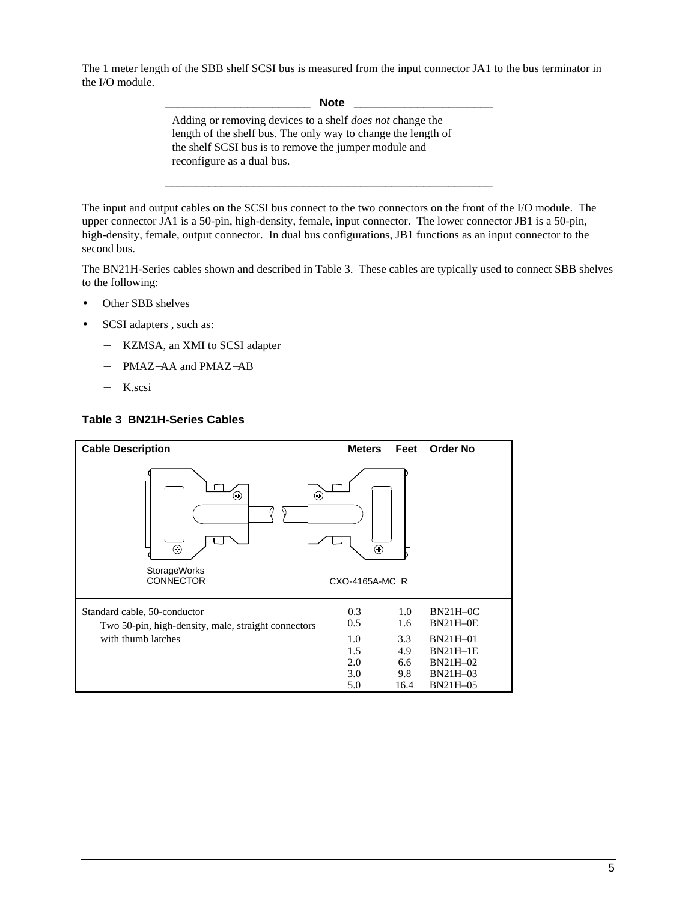The 1 meter length of the SBB shelf SCSI bus is measured from the input connector JA1 to the bus terminator in the I/O module.

 $\textbf{Note}$ 

**\_\_\_\_\_\_\_\_\_\_\_\_\_\_\_\_\_\_\_\_\_\_\_\_\_\_\_\_\_\_\_\_\_\_\_\_\_\_\_\_\_\_\_\_\_\_\_\_\_\_\_\_**

Adding or removing devices to a shelf *does not* change the length of the shelf bus. The only way to change the length of the shelf SCSI bus is to remove the jumper module and reconfigure as a dual bus.

The input and output cables on the SCSI bus connect to the two connectors on the front of the I/O module. The upper connector JA1 is a 50-pin, high-density, female, input connector. The lower connector JB1 is a 50-pin, high-density, female, output connector. In dual bus configurations, JB1 functions as an input connector to the second bus.

The BN21H-Series cables shown and described in Table 3. These cables are typically used to connect SBB shelves to the following:

- Other SBB shelves
- SCSI adapters, such as:
	- − KZMSA, an XMI to SCSI adapter
	- − PMAZ−AA and PMAZ−AB
	- − K.scsi

#### **Table 3 BN21H-Series Cables**

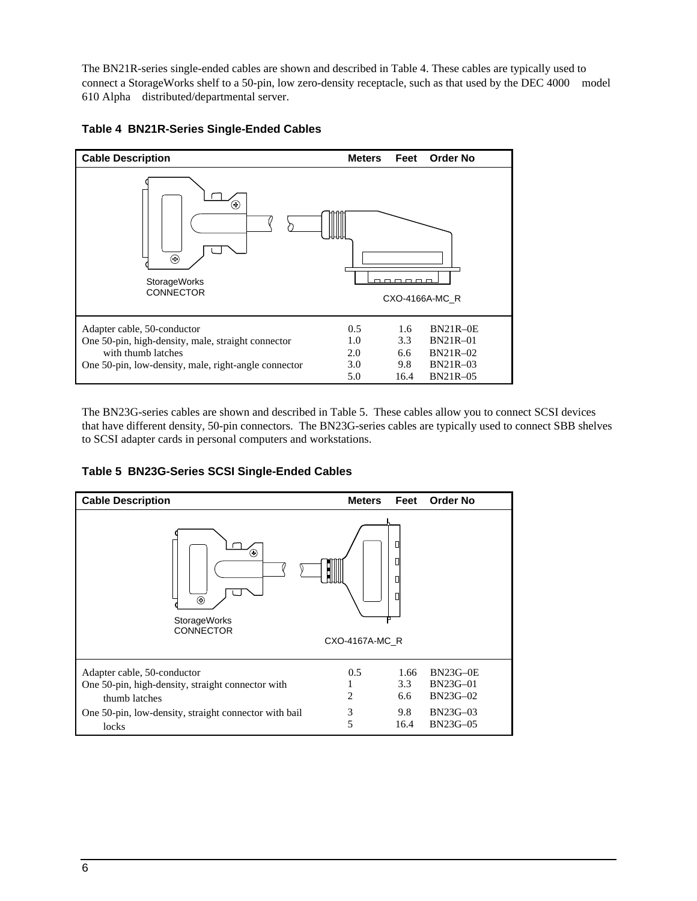The BN21R-series single-ended cables are shown and described in Table 4. These cables are typically used to connect a StorageWorks shelf to a 50-pin, low zero-density receptacle, such as that used by the DEC 4000™ model 610 Alpha<sup>™</sup> distributed/departmental server.



## **Table 4 BN21R-Series Single-Ended Cables**

The BN23G-series cables are shown and described in Table 5. These cables allow you to connect SCSI devices that have different density, 50-pin connectors. The BN23G-series cables are typically used to connect SBB shelves to SCSI adapter cards in personal computers and workstations.

**Table 5 BN23G-Series SCSI Single-Ended Cables**

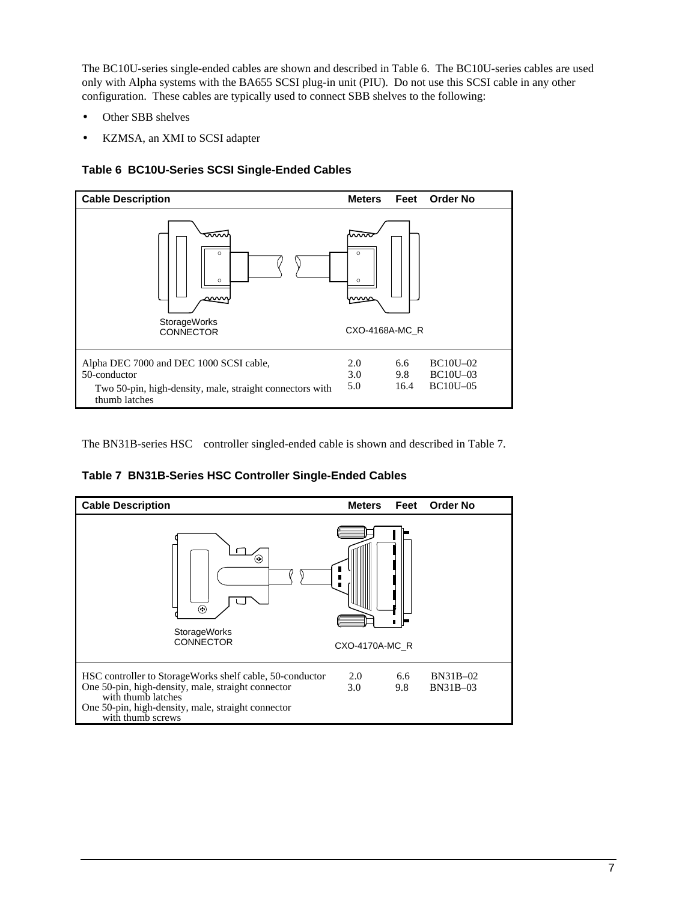The BC10U-series single-ended cables are shown and described in Table 6. The BC10U-series cables are used only with Alpha systems with the BA655 SCSI plug-in unit (PIU). Do not use this SCSI cable in any other configuration. These cables are typically used to connect SBB shelves to the following:

- Other SBB shelves
- KZMSA, an XMI to SCSI adapter





The BN31B-series  $HSC^{TM}$  controller singled-ended cable is shown and described in Table 7.

**Table 7 BN31B-Series HSC Controller Single-Ended Cables**